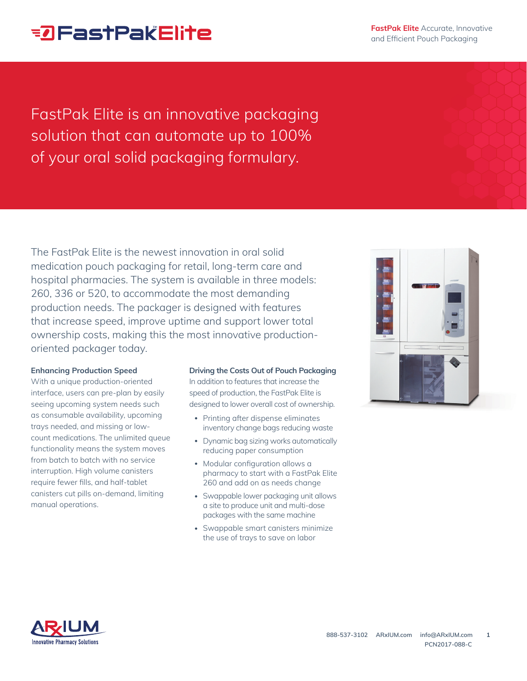# **EDFastPakElite**

**FastPak Elite** Accurate, Innovative and Efficient Pouch Packaging

FastPak Elite is an innovative packaging solution that can automate up to 100% of your oral solid packaging formulary.

The FastPak Elite is the newest innovation in oral solid medication pouch packaging for retail, long-term care and hospital pharmacies. The system is available in three models: 260, 336 or 520, to accommodate the most demanding production needs. The packager is designed with features that increase speed, improve uptime and support lower total ownership costs, making this the most innovative productionoriented packager today.

## **Enhancing Production Speed**

With a unique production-oriented interface, users can pre-plan by easily seeing upcoming system needs such as consumable availability, upcoming trays needed, and missing or lowcount medications. The unlimited queue functionality means the system moves from batch to batch with no service interruption. High volume canisters require fewer fills, and half-tablet canisters cut pills on-demand, limiting manual operations.

## **Driving the Costs Out of Pouch Packaging**

In addition to features that increase the speed of production, the FastPak Elite is designed to lower overall cost of ownership.

- Printing after dispense eliminates inventory change bags reducing waste
- Dynamic bag sizing works automatically reducing paper consumption
- Modular configuration allows a pharmacy to start with a FastPak Elite 260 and add on as needs change
- Swappable lower packaging unit allows a site to produce unit and multi-dose packages with the same machine
- Swappable smart canisters minimize the use of trays to save on labor